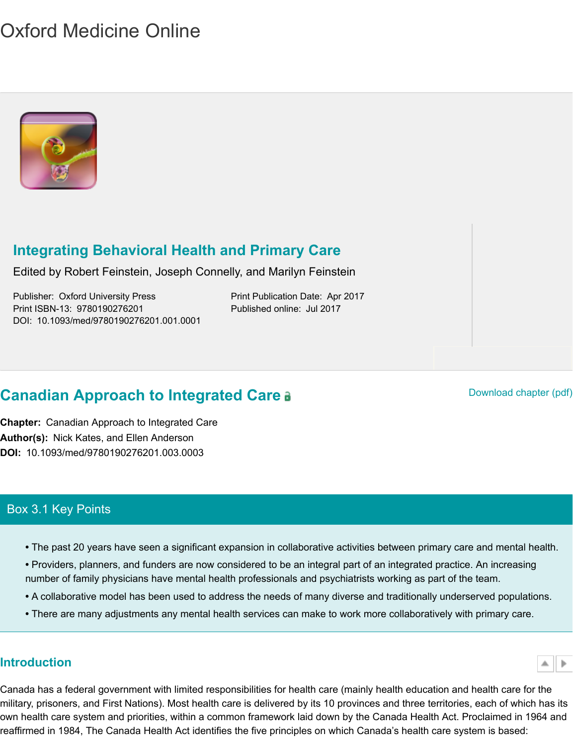

# **Integrating Behavioral Health and Primary Care**

[Edited by Robert](http://oxfordmedicine.com/view/10.1093/med/9780190276201.001.0001/med-9780190276201) Feinstein, Joseph Connelly, and Marilyn Feinstein

Publisher: Oxford University Press Print Publication Date: Apr 2017 Print ISBN-13: 9780190276201 Published online: Jul 2017 DOI: 10.1093/med/9780190276201.001.0001

# **C[anadian Approach to Integrated Care](http://oxfordmedicine.com/view/10.1093/med/9780190276201.001.0001/med-9780190276201) a Canadian Approach to Integrated Care a**

 **Chapter:** Canadian Approach to Integrated Care **Author(s):** Nick Kates, and Ellen Anderson **DOI:** 10.1093/med/9780190276201.003.0003

# Box 3.1 Key Points

- The past 20 years have seen a significant expansion in collaborative activities between primary care
- Providers, planners, and funders are now considered to be an integral part of an integrated practice number of family physicians have mental health professionals and psychiatrists working as part of the
- A collaborative model has been used to address the needs of many diverse and traditionally unders
- There are many adjustments any mental health services can make to work more collaboratively with

# **Introduction**

<span id="page-0-0"></span>Canada has a federal government with limited responsibilities for health care (mainly health education and military, prisoners, and First Nations). Most health care is delivered by its 10 provinces and three territories own health care system and priorities, within a common framework laid down by the Canada Health Act. Pi reaffirmed in 1984, The Canada Health Act identifies the five principles on which Canada's health care syst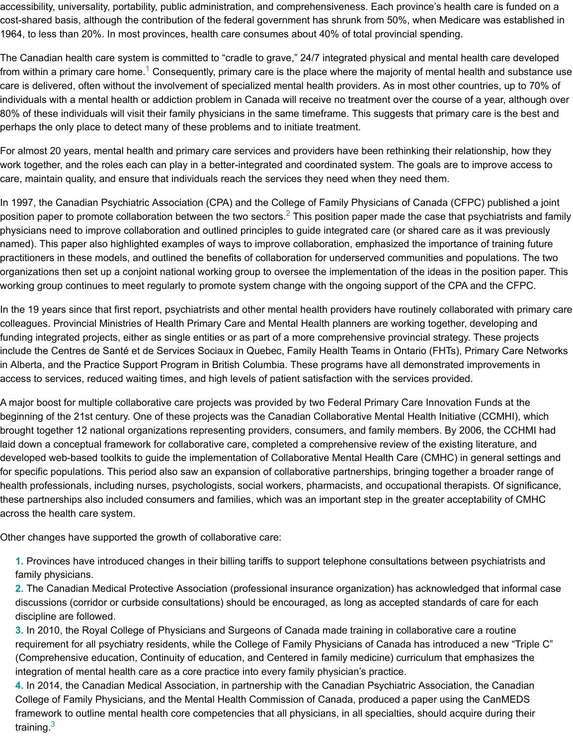For almost 20 years, mental health and primary care services and providers have been rethinking their rela work together, and the roles each can play in a better-integrated and coordinated system. The goals are to care, maintain quality, and ensure that individuals reach the services they need when they need them.

In 1997, the Canadian Psychiatri[c](#page-13-0) Association (CPA) and the College of Family Physicians of Canada (CFF position paper to promote collaboration between the two sectors.<sup>2</sup> This position paper made the case that  $\mathfrak p$ physicians need to improve collaboration and outlined principles to guide integrated care (or shared care as named). This paper also highlighted examples of ways to improve collaboration, emphasized the importand practitioners in these models, and outlined the benefits of collaboration for underserved communities and p organizations then set up a conjoint national working group to oversee the implementation of the ideas in th working group continues to meet regularly to promote system change with the ongoing support of the CPA

In the 19 years since that first report, psychiatrists and other mental health providers have routinely collabo colleagues. Provincial Ministries of Health Primary Care and Mental Health planners are working together, funding integrated projects, either as single entities or as part of a more comprehensive provincial strategy. include the Centres de Santé et de Services Sociaux in Quebec, [F](#page-13-1)amily Health Teams in Ontario (FHTs), P in Alberta, and the Practice Support Program in British Columbia. These programs have all demonstrated in access to services, reduced waiting times, and high levels of patient satisfaction with the services provided

A major boost for multiple collaborative care projects was provided by two Federal Primary Care Innovation beginning of the 21st century. One of these projects was the Canadian Collaborative Mental Health Initiativ brought together 12 national organizations representing providers, consumers, and family members. By 20 laid down a conceptual framework for collaborative care, completed a comprehensive review of the existing developed web-based toolkits to guide the implementation of Collaborative Mental Health Care (CMHC) in for specific populations. This period also saw an expansion of collaborative partnerships, bringing together health professionals, including nurses, psychologists, social workers, pharmacists, and occupational therap these partnerships also included consumers and families, which was an important step in the greater acceptabil across the health care system.

Other changes have supported the growth of collaborative care:

**1.** Provinces have introduced changes in their billing tariffs to support telephone consultations between family physicians.

**2.** The Canadian Medical Protective Association (professional insurance organization) has acknowledge discussions (corridor or curbside consultations) should be encouraged, as long as accepted standards o discipline are followed.

**3.** In 2010, the Royal College of Physicians and Surgeons of Canada made training in collaborative care requirement for all psychiatry residents, while the College of Family Physicians of Canada has introduce (Comprehensive education, Continuity of education, and Centered in family medicine) curriculum that e integration of mental health care as a core practice into every family physician's practice.

**4.** In 2014, the Canadian Medical Association, in partnership with the Canadian Psychiatric Association College of Family Physicians, and the Mental Health Commission of Canada, produced a paper using tl framework to outline mental health core competencies that all physicians, in all specialties, should acqu training.<sup>3</sup>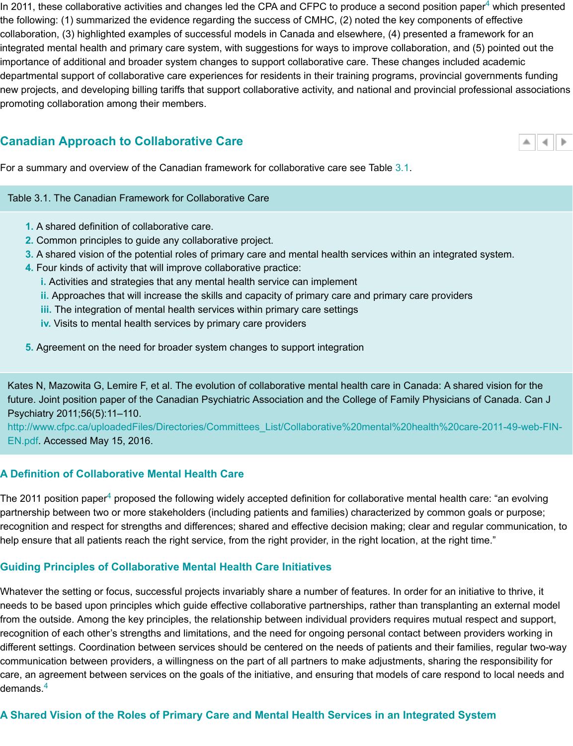#### **Canadian Approach to Collaborative Care**

For a summary and overview of the Canadian framework for collaborative care see Table 3.1.

#### Table 3.1. The Canadian Framework for Collaborative Care

- **1.** A shared definition of collaborative care.
- **2.** Common principles to guide any collaborative project.
- **3.** A shared vision of the potential roles of primary care and mental health services within an integrate
- <span id="page-2-1"></span> **4.** Four kinds of activity that will improve collaborative practice:
	- **i.** [Activities and strategies that any mental health service can implement](http://oxfordmedicine.com/view/10.1093/med/9780190276201.001.0001/med-9780190276201-chapter-3#)
	- **ii.** Approaches that will increase the skills and capacity of primary care and prim[ary c](#page-2-0)are providers
	- **iii.** The integration of mental health services within primary care settings
	- **iv.** Visits to mental health services by primary care providers
- <span id="page-2-0"></span>**5.** Agreement on the need for broader system changes to support integration

Kates N, Mazowita G, Lemire F, et al. The evolution of collaborative mental health care in Canada: A shai future. Joint position paper of the Canadian Psychiatric Association and the College of Family Physicians Psychiatry 2011;56(5):11–110.

 EN.pdf. Accessed May 15, 2016. http://www.cfpc.ca/uploadedFiles/Directories/Committees\_List/Collaborative%20mental%20health%20ca

#### **A Definition of Collaborative Mental Health Care**

The 2011 position paper<sup>4</sup> proposed the following widely accepted definition for collaborative mental health  $\epsilon$ partnership between two or more stakeholders (including patients and families) characterized by common g recognition and respect for strengths and differences; shared and effective decision making; clear and regu help ensure that all patients reach the right service, from the right provider, in the right location, at the right

#### **[Guiding Principles of Collaborative Mental Health Care Initiatives](http://www.cfpc.ca/uploadedFiles/Directories/Committees_List/Collaborative%20mental%20health%20care-2011-49-web-FIN-EN.pdf)**

Whatever the setting or focus, successful projects invariably share a number of features. In order for an init needs to be based upon principles which guide effective collaborative partnerships, rather than transplantir from the outside. Among the key principles, the relationship between individual providers requires mutual re recognition of each othe[r'](#page-13-2)s strengths and limitations, and the need for ongoing personal contact between pi different settings. Coordination between services should be centered on the needs of patients and their fan communication between providers, a willingness on the part of all partners to make adjustments, sharing th care, an agreement between services on the goals of the initiative, and ensuring that models of care respoi demands. $4$ 

# A Shared Vision of the Roles of Primary Care and Mental Health Services in an Integrated Sy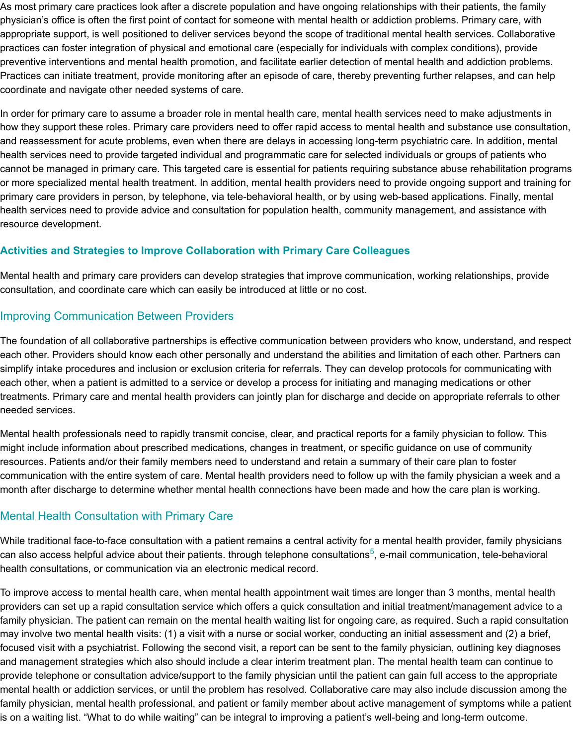and reassessment for acute problems, even when there are delays in accessing long-term psychiatric care health services need to provide targeted individual and programmatic care for selected individuals or group cannot be managed in primary care. This targeted care is essential for patients requiring substance abuse or more specialized mental health treatment. In addition, mental health providers need to provide ongoing s primary care providers in person, by telephone, via tele-behavioral health, or by using web-based applications. health services need to provide advice and consultation for population health, community management, an resource development.

### **Activities and Strategies to Improve Collaboration with Primary Care Colleagues**

Mental health and primary care providers can develop strategies that improve communication, working rela consultation, and coordinate care which can easily be introduced at little or no cost.

# Improving Communication Between Providers

The foundation of all collaborative partnerships is effective communication between providers who know, und each other. Providers should know each other personally and understand the abilities and limitation of each simplify intake procedures and inclusion or exclusion criteria for referrals. They can develop protocols for c each other, when a patient is admitted to a service or develop a process for initiating and managing medications treatments. Primary care and mental health providers can jointly plan for discharge and decide on appropri needed services.

Mental health professionals need to rapidly transmit concise, clear, and practical reports for a family physic might include information about prescribed medications, changes in treatment, or specific guidance on use resources. Patients and/or their family members need to understand and retain a summary of their care pla communication with the entire system of care. Mental health providers need to follow up with the family phy month after discharge to determine whether mental health connections have been made and how the care

# Mental Health Consultation with Primary Care

While traditional face-to-face consultation with a patient remains a central activity for a mental health provic can also access helpful advice about their patients. through telephone consultations<sup>5</sup>, e-mail communicatio health consultations, or communication via an electronic medical record.

To improve access to mental health care, when mental health appointment wait times are longer than 3 mo providers can set up a rapid consultation service which offers a quick consultation and initial treatment/mar family physician. The patient can remain on the mental health waiting list for ongoing care, as required. Sud may involve two mental health visits: (1) a visit with a nurse or social worker, conducting an initial assessm focused visit with a psychiatrist. Following the second visit, a report can be sent to the family physician, out and management strategies which also should include a clear interim treatment plan. The mental health tea provide telephone or consultation advice/support to the family physician until the patient can gain full acces mental health or addiction services, or until the problem has resolved. Collaborative [c](#page-13-3)are may also include family physician, mental health professional, and patient or family member about active management of syi is on a waiting list. "What to do while waiting" can be integral to improving a patient's well-being and long-te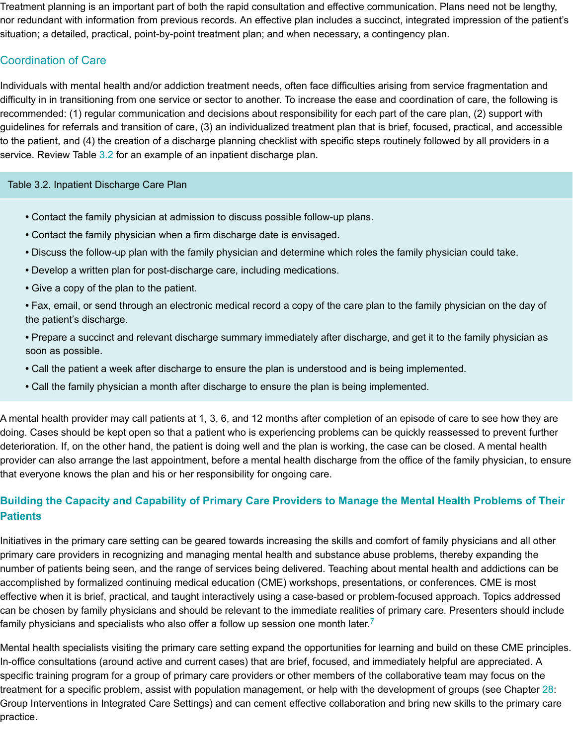to the patient, and (4) the creation of a discharge planning checklist with specific steps routinely followed by service. Review Table 3.2 for an example of an inpatient discharge plan.

#### Table 3.2. Inpatient Discharge Care Plan

- Contact the family physician at admission to discuss possible follow-up plans.
- Contact the family physician when a firm discharge date is envisaged.
- Discuss the follow-up plan with the family physician and determine which roles the family physician
- Develop a written plan for post-discharge care, including medications.
- Give a copy of [the](#page-4-0) plan to the patient.
- <span id="page-4-0"></span>• Fax, email, or send through an electronic medical record a copy of the care plan to the family physic the patient's discharge.
- Prepare a succinct and relevant discharge summary immediately after discharge, and get it to the fa soon as possible.
- Call the patient a week after discharge to ensure the plan is understood and is being implemented.
- Call the family physician a month after discharge to ensure the plan is being implemented.

A mental health provider may call patients at 1, 3, 6, and 12 months after completion of an episode of care doing. Cases should be kept open so that a patient who is experiencing problems can be quickly reassesse deterioration. If, on the other hand, the patient is doing well and the plan is working, the case can be closed provider can also arrange the last appointment, before a mental health discharge from the office of the fam that everyone knows the plan and his or her responsibility for ongoing care.

# **Building the Capacity and Capability of Primary Care Providers to Manage the Mental Health Patients**

Initiatives in the primary care setting can be geared towards increasing the skills and comfort of family phys primary care providers in recognizing and managing mental health and substance abuse problems, thereby number of patients being seen, and the range of services being delivered. Teaching about mental health ar accomplished by formalized continuing medical education (CME) workshops, presentations, or conference: effective when it is brief, practical, and taught interactively using a case-based or problem-focused approac can be chosen by family physicians and should be relevant to the immediate realities of primary care. Pres family physicians and specialists who also offer a follow up session one month later.<sup>7</sup>

Mental health specialists visiting the primary care setting expand the opportunities for learning and build on In-office consultations (around active and current cases) that are brief, focused, and immediately helpful are specific training program for a group of primary care providers or other members of the collaborative team i treatment for a specific problem, assist with population management, or help with the development of group Group Interventions in Integrated Care Settings) and can cement effective collaboration and bring new skill practice.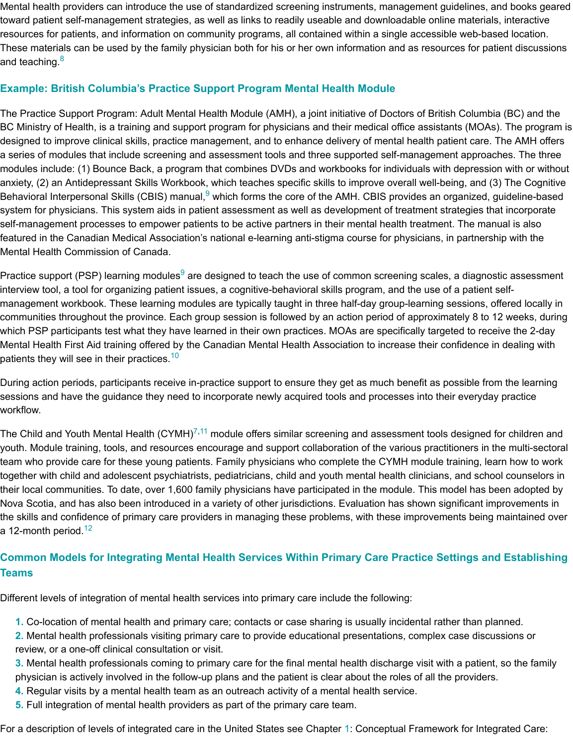designed to improve clinical skills, practice management, and to enhance delivery of mental health patient a series of modules that include screening and assessment tools and three supported self-management ap modules include: (1) Bounce Back, a program that combines DVDs and workbooks for individuals with dep anxiety, (2) an Antidepressant Skills Workbook, which teaches specific skills to improve overall well-being, a Behavioral In[te](#page-14-0)rpersonal Skills (CBIS) manual,<sup>9</sup> which forms the core of the AMH. CBIS provides an organi system for physicians. This system aids in patient assessment as well as development of treatment strateg self-management processes to empower patients to be active partners in their mental health treatment. The featured in the Canadian Medical Association's national e-learning anti-stigma course for physicians, in par Mental Health Commission of Canada.

Practice support (PSP) learning modules<sup>9</sup> are designed to teach the use of common screening scales, a di interview tool, a tool for organizing patient issues, a cognitive-behavioral skills program, and the use of a pa management workbook. These learning modules are typically taught in three half-day group-learning sessi communities throughout the province. Each group session is followed by an action period of approximately which PSP p[ar](#page-14-1)ticipants test what they have learned in their own practices. MOAs are specifically targeted t Mental Health First Aid training offered by the Canadian Mental Health Association to increase their confide patients they will see in their practices.<sup>10</sup>

During action periods, participants receive in-practice support to ensure they get as much benefit as possib sessions and have the guidance they need to incorporate newly acquired tools and processes into their eve workflow.

The Child and Youth Mental Health (CYMH)<sup>7,11</sup> module offers similar screening and assessment tools desig youth. Module training, tools, and resources encourage and support collaboration of the various practitione team who provide care for these young patients. Family physicians who complete the CYMH module trainir together with child and adolescent psychiatrists, pediatricians, child and youth mental health clinicians, and their local communities. To date, over [1,6](#page-14-2)00 family physicians have participated in the module. This model l Nova Scotia, and has also been introduced in a variety of other jurisdictions. Evaluation has shown significa the skills and confidence of primary care providers in managing these problems, with these improvements l a 12-month period.<sup>12</sup>

# **Common Models for Integrating Mental Health Services Within Primary Care Practice Setting Teams**

Different levels of integration of mental health services into primary care include the following:

- **1.** Co-location of mental health and primary care; contacts or case sharing is usually incidental rather th
- **2.** Mental health professionals visiting primary care to provide educational presentations, complex case review, or a one-off clinical consultation or visit.
- **3.** Mental healt[h p](#page-14-3)rofessionals coming to primary care for the final mental health discharge visit with a p physician is actively involved in the follow-up plans and the patient is clear about the roles of all the prov
- **4.** Regular visits by a mental health team as an outreach activity of a mental health service.
- **5.** Full integration of mental health providers as part of the primary care team.

For a description of levels of integrated care in the United States see Chapter 1: Conceptual Framework fo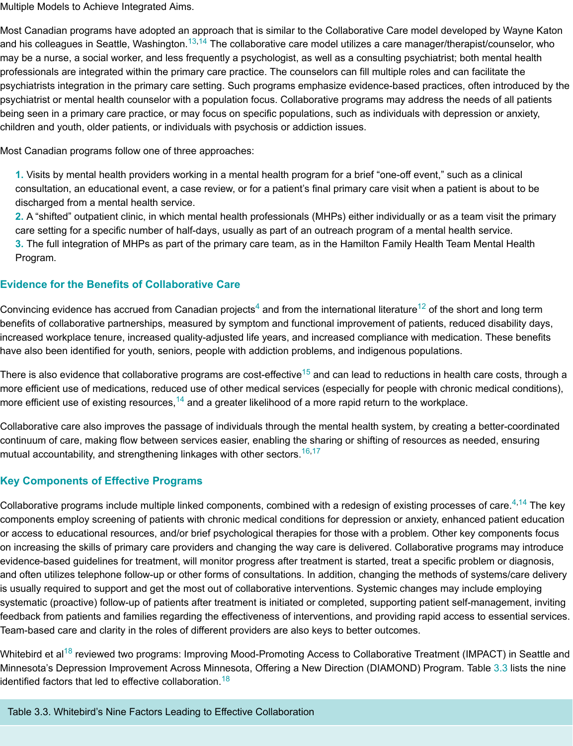Most Canadian programs follow one of three approaches:

**1.** Visits by mental health providers wo[rki](#page-14-4)[ng](#page-14-5) in a mental health program for a brief "one-off event," such consultation, an educational event, a case review, or for a patient's final primary care visit when a patier discharged from a mental health service.

**2.** A "shifted" outpatient clinic, in which mental health professionals (MHPs) either individually or as a tea care setting for a specific number of half-days, usually as part of an outreach program of a mental healt **3.** The full integration of MHPs as part of the primary care team, as in the Hamilton Family Health Team Program.

### **Evidence for the Benefits of Collaborative Care**

Convincing evidence has accrued from Canadian projects<sup>4</sup> and from the international literature<sup>12</sup> of the sho benefits of collaborative partnerships, measured by symptom and functional improvement of patients, redu increased workplace tenure, increased quality-adjusted life years, and increased compliance with medicatio have also been identified for youth, seniors, people with addiction problems, and indigenous populations.

There is also evidence that collaborative programs are cost-effective<sup>15</sup> and can lead to reductions in health more efficient use of medications, reduced use of other medical services (especially for people with chronic more efficient use of existing resources,<sup>14</sup> and a greater likelihood of a more rapid return to the workplace.

Collaborative care also improves the passage of individuals through the mental health system, by creating continuum of care, making flow betwe[en](#page-13-2) services easier, enabling the sharing or shifting of res[ou](#page-14-3)rces as ne mutual accountability, and strengthening linkages with other sectors.<sup>16,17</sup>

#### **Key Components of Effective Programs**

Collaborative programs include multiple link[ed](#page-14-6) components, combined with a redesign of existing processe components employ screening of patients with chronic medical conditions for depression or anxiety, enhane or access to educational resources, an[d/o](#page-14-5)r brief psychological therapies for those with a problem. Other ke on increasing the skills of primary care providers and changing the way care is delivered. Collaborative pro evidence-based guidelines for treatment, will monitor progress after treatment is started, treat a specific pro and often utilizes telephone follow-up or other forms of consultations. In addition, changing the methods of is usually required to support and get the most out of collaborative i[nte](#page-14-7)[rve](#page-14-8)ntions. Systemic changes may in systematic (proactive) follow-up of patients after treatment is initiated or completed, supporting patient selffeedback from patients and families regarding the effectiveness of interventions, and providing rapid acces Team-based care and clarity in the roles of different providers are also keys to better outcomes.

Whitebird et al<sup>18</sup> reviewed two programs: Improving Mood-Promoting Access to Collaborative Treatment (II Minnesota's Depression Improvement Across Minnesota, Offering a New Direction (DIAMOND) Program. T identified factors that led to effective collaboration.<sup>18</sup>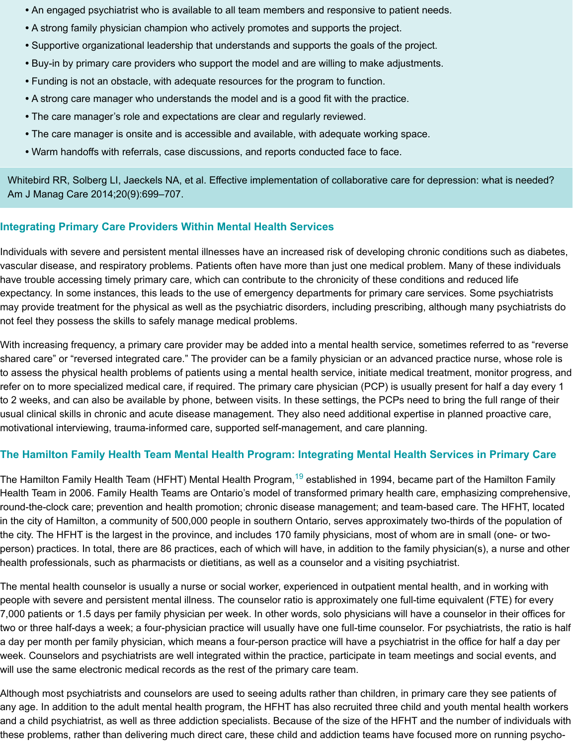- The care manager is onsite and is accessible and available, with adequate working space.
- Warm handoffs with referrals, case discussions, and reports conducted face to face.

Whitebird RR, Solberg LI, Jaeckels NA, et al. Effective implementation of collaborative care for depressio Am J Manag Care 2014;20(9):699–707.

# **Integrating Primary Care Providers Within Mental Health Services**

Individuals with severe and persistent mental illnesses have an increased risk of developing chronic conditions vascular disease, and respiratory problems. Patients often have more than just one medical problem. Many have trouble accessing timely primary care, which can contribute to the chronicity of these conditions and r expectancy. In some instances, this leads to the use of emergency departments for primary care services. may provide treatment for the physical as well as the psychiatric disorders, including prescribing, although  $\blacksquare$ not feel they possess the skills to safely manage medical problems.

With increasing frequency, a primary care provider may be added into a mental health service, sometimes i shared care" or "reversed integrated care." The provider can be a family physician or an advanced practice to assess the physical health problems of patients using a mental health service, initiate medical treatment, refer on to more specialized medical care, if required. The primary care physician (PCP) is usually present to 2 weeks, and can also be available by phone, between visits. In these settings, the PCPs need to bring t usual clinical skills in chronic and acute disease management. They also need additional expertise in planr motivational interviewing, trauma-informed care, supported self-management, and care planning.

# **The Hamilton Family Health Team Mental Health Program: Integrating Mental Health Services**

The Hamilton Family Health Team (HFHT) Mental Health Program,<sup>19</sup> established in 1994, became part of t Health Team in 2006. Family Health Teams are Ontario's model of transformed primary health care, empha round-the-clock care; prevention and health promotion; chronic disease management; and team-based car in the city of Hamilton, a community of 500,000 people in southern Ontario, serves approximately two-thirds the city. The HFHT is the largest in the province, and includes 170 family physicians, most of whom are in s person) practices. In total, there are 86 practices, each of which will have, in addition to the family physiciai health professionals, such as pharmacists or dietitians, as well as a counselor and a visiting psychiatrist.

The mental health counselor is usually a nurse or social worker, experienced in outpatient mental health, and people with severe and persistent mental illness. The counselor ratio is approximately one full-time equivale 7,000 patients or 1.5 days per family physician per week. In other [wo](#page-14-9)rds, solo physicians will have a couns two or three half-days a week; a four-physician practice will usually have one full-time counselor. For psych a day per month per family physician, which means a four-person practice will have a psychiatrist in the offi week. Counselors and psychiatrists are well integrated within the practice, participate in team meetings and will use the same electronic medical records as the rest of the primary care team.

Although most psychiatrists and counselors are used to seeing adults rather than children, in primary care the any age. In addition to the adult mental health program, the HFHT has also recruited three child and youth and a child psychiatrist, as well as three addiction specialists. Because of the size of the HFHT and the nur these problems, rather than delivering much direct care, these child and addiction teams have focused mor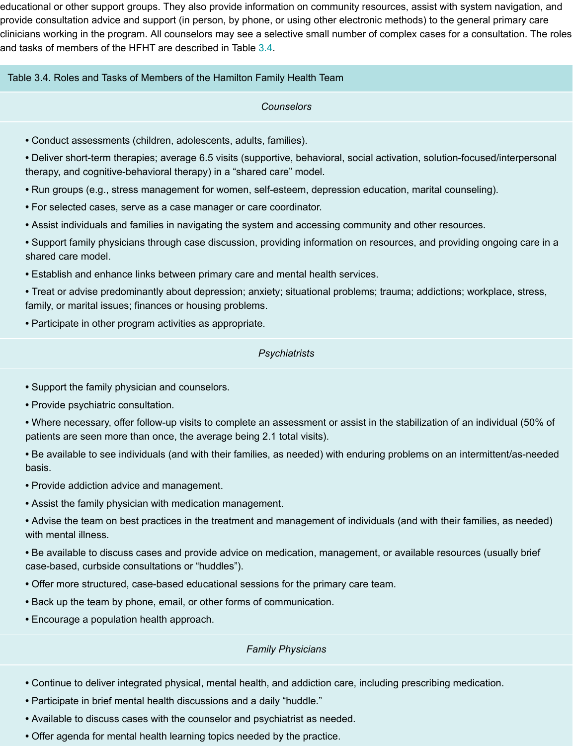- Conduct assessments (children, adolescents, adults, families).
- Deliver short-term therapies; average 6.5 visits (supportive, behavioral, social activation, solution-fo therapy, and cognitive-behavioral therapy) in a "shared care" model.
- Run groups (e.g., stress management for women, [self-](#page-8-0)esteem, depression education, marital couns
- <span id="page-8-0"></span>**•** For selected cases, serve as a case manager or care coordinator.
- Assist individuals and families in navigating the system and accessing community and other resourd
- Support family physicians through case discussion, providing information on resources, and providir shared care model.
- Establish and enhance links between primary care and mental health services.
- Treat or advise predominantly about depression; anxiety; situational problems; trauma; addictions; v family, or marital issues; finances or housing problems.
- Participate in other program activities as appropriate.

#### *Psychiatrists*

- Support the family physician and counselors.
- Provide psychiatric consultation.
- Where necessary, offer follow-up visits to complete an assessment or assist in the stabilization of ar patients are seen more than once, the average being 2.1 total visits).
- Be available to see individuals (and with their families, as needed) with enduring problems on an int basis.
- Provide addiction advice and management.
- Assist the family physician with medication management.
- Advise the team on best practices in the treatment and management of individuals (and with their fa with mental illness.
- Be available to discuss cases and provide advice on medication, management, or available resourc case-based, curbside consultations or "huddles").
- Offer more structured, case-based educational sessions for the primary care team.
- Back up the team by phone, email, or other forms of communication.
- Encourage a population health approach.

#### *Family Physicians*

- Continue to deliver integrated physical, mental health, and addiction care, including prescribing med
- Participate in brief mental health discussions and a daily "huddle."
- Available to discuss cases with the counselor and psychiatrist as needed.
- Offer agenda for mental health learning topics needed by the practice.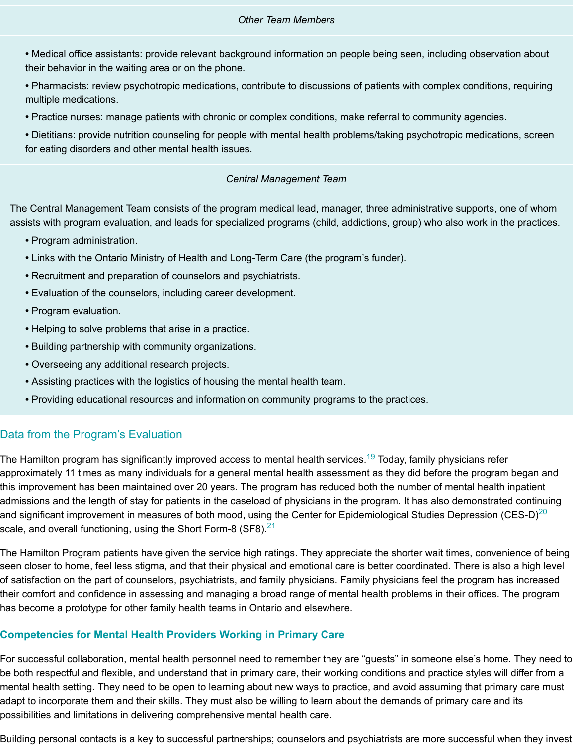for eating disorders and other mental health issues. **•** Dietitians: provide nutrition counseling for people with mental health problems/taking psychotropic medications, screen

#### *Central Management Team*

The Central Management Team consists of the program medical lead, manager, three administrative sup assists with program evaluation, and leads for specialized programs (child, addictions, group) who also v

- Program administration.
- Links with the Ontario Ministry of Health and Long-Term Care (the program's funder).
- Recruitment and preparation of counselors and psychiatrists.
- Evaluation of the counselors, including career development.
- Program evaluation.
- Helping to solve problems that arise in a practice.
- Building partnership with community organizations.
- Overseeing any additional research projects.
- Assisting practices with the logistics of housing the mental health team.
- Providing educational resources and information on community programs to the practices.

### Data from the Program's Evaluation

The Hamilton program has significantly improved access to mental health services.<sup>19</sup> Today, family physicia approximately 11 times as many individuals for a general mental health assessment as they did before the this improvement has been maintained over 20 years. The program has reduced both the number of menta admissions and the length of stay for patients in the caseload of physicians in the program. It has also dem and significant improvement in measures of both mood, using the Center for Epidemiological Studies Depre scale, and overall functioning, using the Short Form-8 (SF8). $^{21}$ 

The Hamilton Program patients have given the service high ratings. They appreciate the shorter wait times seen closer to home, feel less stigma, and that their physical and emotional care is better coordinated. The of satisfaction on the part of counselors, psychiatrists, and family physicians. Family physicians feel the pro their comfort and confidence in assessing and managing a broad range of mental [hea](#page-14-9)lth problems in their o has become a prototype for other family health teams in Ontario and elsewhere.

#### **Competencies for Mental Health Providers Working in Primary Care**

For successful collaboration, mental health personnel need t[o r](#page-14-11)emember they are "guests" in someone else be both respectful and flexible, and understand that in primary care, their working conditions and practice s mental health setting. They need to be open to learning about new ways to practice, and avoid assuming th adapt to incorporate them and their skills. They must also be willing to learn about the demands of primary possibilities and limitations in delivering comprehensive mental health care.

Building personal contacts is a key to successful partnerships; counselors and psychiatrists are more succe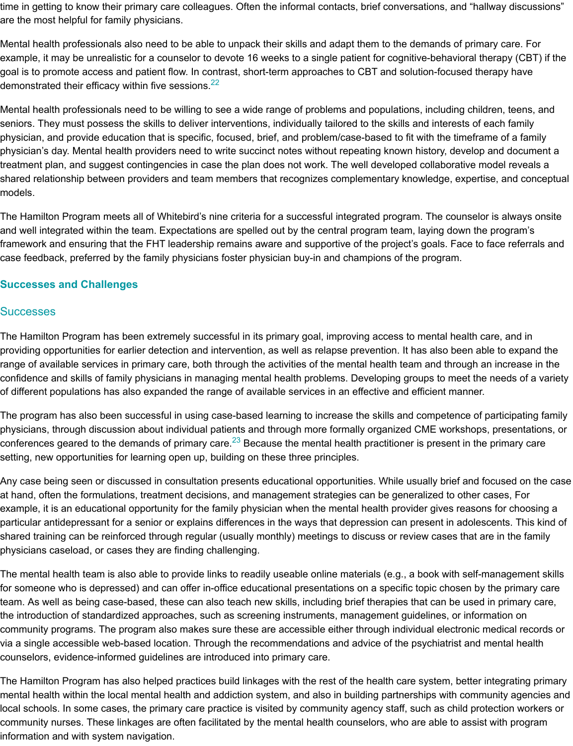physician, and provide education that is specific, focused, brief, and problem/case-based to fit with the timeframe of a family physician's day. Mental health providers need to write succinct notes without repeating known history, deve treatment plan, and suggest contingencies in case the plan does not work. The well developed collaborativ shared relationship between providers and team members that recognizes complementary knowledge, exp models.

The Hamilton Program meets all of Whitebird's [nin](#page-14-12)e criteria for a successful integrated program. The couns and well integrated within the team. Expectations are spelled out by the central program team, laying down framework and ensuring that the FHT leadership remains aware and supportive of the project's goals. Face case feedback, preferred by the family physicians foster physician buy-in and champions of the program.

### **Successes and Challenges**

### **Successes**

The Hamilton Program has been extremely successful in its primary goal, improving access to mental healt providing opportunities for earlier detection and intervention, as well as relapse prevention. It has also beer range of available services in primary care, both through the activities of the mental health team and throug confidence and skills of family physicians in managing mental health problems. Developing groups to meet of different populations has also expanded the range of available services in an effective and efficient manr

The program has also been successful in using case-based learning to increase the skills and competence physicians, through discussion about individual patients and through more formally organized CME worksh conferences geared to the demands of primary care. $^{23}$  Because the mental health practitioner is present in setting, new opportunities for learning open up, building on these three principles.

Any case being seen or discussed in consultation presents educational opportunities. While usually brief ar at hand, often the formulations, treatment decisions, and management strategies can be generalized to oth example, it is an educational opportunity for the family physician when the mental health provider gives rea particular antidepressant for a senior or explains differences in the ways that depression can present in add shared training can be reinforced through regular (usually monthly) meetings to discuss or review cases tha physicians caseload, or cases they are finding challenging.

The mental health team is also able [to](#page-15-0) provide links to readily useable online materials (e.g., a book with se for someone who is depressed) and can offer in-office educational presentations on a specific topic chosen team. As well as being case-based, these can also teach new skills, including brief therapies that can be us the introduction of standardized approaches, such as screening instruments, management guidelines, or in community programs. The program also makes sure these are accessible either through individual electror via a single accessible web-based location. Through the recommendations and advice of the psychiatrist a counselors, evidence-informed guidelines are introduced into primary care.

The Hamilton Program has also helped practices build linkages with the rest of the health care system, bet mental health within the local mental health and addiction system, and also in building partnerships with co local schools. In some cases, the primary care practice is visited by community agency staff, such as child community nurses. These linkages are often facilitated by the mental health counselors, who are able to as information and with system navigation.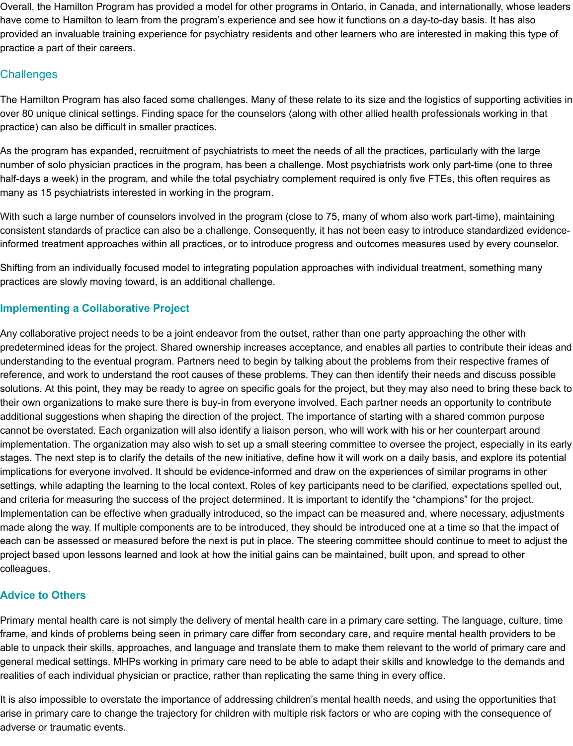Overall, the Hamilton Program has provided a model for other programs in Ontario, in Canada, and internationally, whose leaders have come to Hamilton to learn from the program's experience and see how it functions on a day-to-day basis. It has also provided an invaluable training experience for psychiatry residents and other learners who are interested in making this type of practice a part of their careers.

### **Challenges**

 The Hamilton Program has also faced some challenges. Many of these relate to its size and the logistics of supporting activities in over 80 unique clinical settings. Finding space for the counselors (along with other allied health professionals working in that practice) can also be difficult in smaller practices.

 As the program has expanded, recruitment of psychiatrists to meet the needs of all the practices, particularly with the large number of solo physician practices in the program, has been a challenge. Most psychiatrists work only part-time (one to three half-days a week) in the program, and while the total psychiatry complement required is only five FTEs, this often requires as many as 15 psychiatrists interested in working in the program.

 With such a large number of counselors involved in the program (close to 75, many of whom also work part-time), maintaining consistent standards of practice can also be a challenge. Consequently, it has not been easy to introduce standardized evidence-informed treatment approaches within all practices, or to introduce progress and outcomes measures used by every counselor.

 Shifting from an individually focused model to integrating population approaches with individual treatment, something many practices are slowly moving toward, is an additional challenge.

### **Implementing a Collaborative Project**

 Any collaborative project needs to be a joint endeavor from the outset, rather than one party approaching the other with predetermined ideas for the project. Shared ownership increases acceptance, and enables all parties to contribute their ideas and understanding to the eventual program. Partners need to begin by talking about the problems from their respective frames of reference, and work to understand the root causes of these problems. They can then identify their needs and discuss possible solutions. At this point, they may be ready to agree on specific goals for the project, but they may also need to bring these back to their own organizations to make sure there is buy-in from everyone involved. Each partner needs an opportunity to contribute additional suggestions when shaping the direction of the project. The importance of starting with a shared common purpose cannot be overstated. Each organization will also identify a liaison person, who will work with his or her counterpart around implementation. The organization may also wish to set up a small steering committee to oversee the project, especially in its early stages. The next step is to clarify the details of the new initiative, define how it will work on a daily basis, and explore its potential implications for everyone involved. It should be evidence-informed and draw on the experiences of similar programs in other settings, while adapting the learning to the local context. Roles of key participants need to be clarified, expectations spelled out, and criteria for measuring the success of the project determined. It is important to identify the "champions" for the project. Implementation can be effective when gradually introduced, so the impact can be measured and, where necessary, adjustments made along the way. If multiple components are to be introduced, they should be introduced one at a time so that the impact of each can be assessed or measured before the next is put in place. The steering committee should continue to meet to adjust the project based upon lessons learned and look at how the initial gains can be maintained, built upon, and spread to other colleagues.

#### **Advice to Others**

 Primary mental health care is not simply the delivery of mental health care in a primary care setting. The language, culture, time frame, and kinds of problems being seen in primary care differ from secondary care, and require mental health providers to be able to unpack their skills, approaches, and language and translate them to make them relevant to the world of primary care and general medical settings. MHPs working in primary care need to be able to adapt their skills and knowledge to the demands and realities of each individual physician or practice, rather than replicating the same thing in every office.

 It is also impossible to overstate the importance of addressing children's mental health needs, and using the opportunities that arise in primary care to change the trajectory for children with multiple risk factors or who are coping with the consequence of adverse or traumatic events.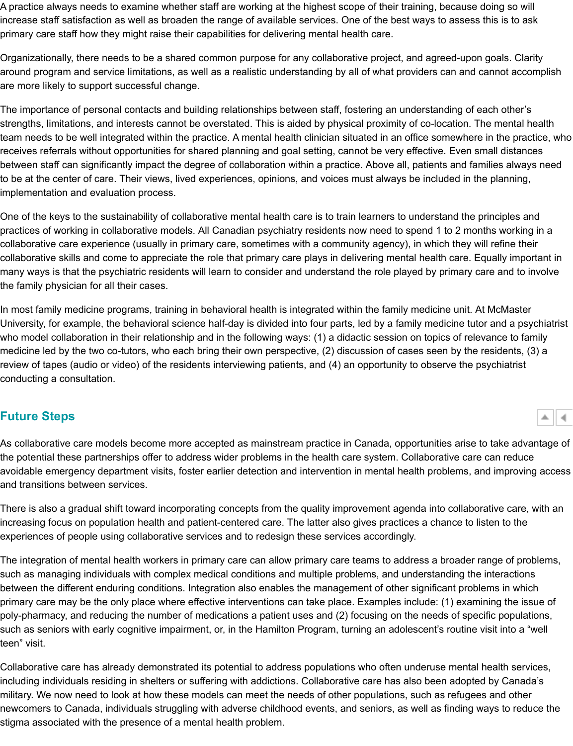team needs to be well integrated within the practice. A mental health clinician situated in an office somewhere in the practice, who receives referrals without opportunities for shared planning and goal setting, cannot be very effective. Even between staff can significantly impact the degree of collaboration within a practice. Above all, patients and  $\cdot$ to be at the center of care. Their views, lived experiences, opinions, and voices must always be included in implementation and evaluation process.

One of the keys to the sustainability of collaborative mental health care is to train learners to understand th practices of working in collaborative models. All Canadian psychiatry residents now need to spend 1 to 2 m collaborative care experience (usually in primary care, sometimes with a community agency), in which they collaborative skills and come to appreciate the role that primary care plays in delivering mental health care. many ways is that the psychiatric residents will learn to consider and understand the role played by primary the family physician for all their cases.

In most family medicine programs, training in behavioral health is integrated within the family medicine unit University, for example, the behavioral science half-day is divided into four parts, led by a family medicine t who model collaboration in their relationship and in the following ways: (1) a didactic session on topics of re medicine led by the two co-tutors, who each bring their own perspective, (2) discussion of cases seen by the review of tapes (audio or video) of the residents interviewing patients, and (4) an opportunity to observe the conducting a consultation.

# **Future Steps**

As collaborative care models become more accepted as mainstream practice in Canada, opportunities aris the potential these partnerships offer to address wider problems in the health care system. Collaborative ca avoidable emergency department visits, foster earlier detection and intervention in mental health problems, and transitions between services.

There is also a gradual shift toward incorporating concepts from the quality improvement agenda into collal increasing focus on population health and patient-centered care. The latter also gives practices a chance to experiences of people using collaborative services and to redesign these services accordingly.

<span id="page-12-0"></span>The integration of mental health workers in primary care can allow primary care teams to address a broade such as managing individuals with complex medical conditions and multiple problems, and understanding t between the different enduring conditions. Integration also enables the management of other significant pro primary care may be the only place where effective interventions can take place. Examples include: (1) exa poly-pharmacy, and reducing the number of medications a patient uses and (2) focusing on the needs of sp such as seniors with early cognitive impairment, or, in the Hamilton Program, turning an adolescent's routin teen" visit.

Collaborative care has already demonstrated its potential to address populations who often underuse ment including individuals residing in shelters or suffering with addictions. Collaborative care has also been adop military. We now need to look at how these models can meet the needs of other populations, such as refug newcomers to Canada, individuals struggling with adverse childhood events, and seniors, as well as finding stigma associated with the presence of a mental health problem.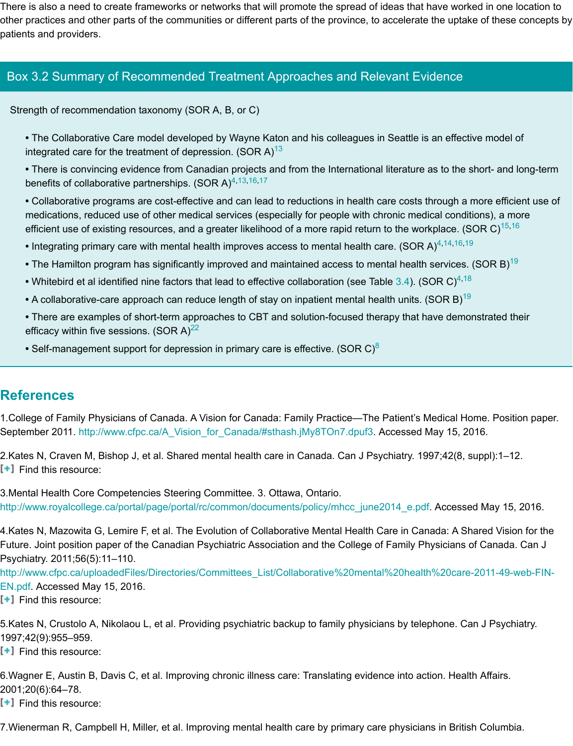- The Collaborative Care model developed by Wayne Katon and his colleagues in Seattle is an effective model of integrated care for the treatment of depression. (SOR A)<sup>13</sup>
- There is convincing evidence from Canadian projects and from the International literature as to the s benefits of collaborative partnerships. (SOR A) $4,13,16,17$
- Collaborative programs are cost-effective and can lead to reductions in health care costs through a medications, reduced use of other medical services (especially for people with chronic medical condit efficient use of existing resources, and a greater likelihood of a more rapid return to the workplace. (S
- Integrating primary care with mental health improves access to mental health care. (SOR A)<sup>4,14,16,19</sup>
- The Hamilton program has significantly improved and maintained access to mental health services.
- Whitebird et al identified nine factors that lead to effecti[ve](#page-14-4) collaboration (see Table 3.4). (SOR C)<sup>4,18</sup>
- A collaborative-care approach can reduce length of stay on inpatient mental health units. (SOR B)<sup>19</sup>
- There are example[s](#page-13-2) of short-term approaches [to](#page-14-4) [C](#page-14-7)[BT](#page-14-8) and solution-focused therapy that have demo efficacy within five sessions. (SOR A) $^{22}$
- Self-management support for depression in primary care is effective. (SOR C)<sup>8</sup>

# **References**

1. College of Family Physicians of Canada. A Vision for Canada: Family Practice—The Pa[tien](#page-8-0)t's Medica[l](#page-13-2) [Ho](#page-14-13)me. September [20](#page-14-9)11. http://www.cfpc.ca/A\_Vision\_for\_Canada/#sthash.jMy8TOn7.dpuf3. Accessed May 15, 20

2.Kates N, Craven M, Bishop J, et al. Shar[ed](#page-14-12) mental health care in Canada. Can J Psychiatry. 1997;42(8, s [<sup>+</sup>] Find this resource:

 3.Mental Health Core Competencies Steering Committee. 3. Ottawa, Ontario. http://www.royalcollege.ca/portal/page/portal/rc/common/documents/policy/mhcc\_june2014\_e.pdf. Accesse

4.Kates N, Mazowita G, Lemire F, et al. The Evolution of Collaborative Mental Health Care in Canada: A Sh Future. Joint position paper of the Canadian Psychiatric Association and the College of Family Physicians of Psychiatry. 2011;56(5):11–110.

<span id="page-13-0"></span> EN.pdf. Accessed May 15, 2016. http://www.cfpc.c[a/uploadedFiles/Directories/Committees\\_List/Collaborative%20men](http://www.cfpc.ca/A_Vision_for_Canada/#sthash.jMy8TOn7.dpuf3)tal%20health%20care

<span id="page-13-1"></span> $[\cdot]$  Find this resource:

5.Kates N, Crustolo A, Nikolaou L, et al. Providing psychiatric backup to family physicians by telephone. Ca [1997;42\(9\):955–959.](http://www.royalcollege.ca/portal/page/portal/rc/common/documents/policy/mhcc_june2014_e.pdf) 

[<sup>+</sup>] Find this resource:

<span id="page-13-2"></span>6.Wagner E, Austin B, Davis C, et al. Improving chronic illness care: Translating evidence into action. Healt 2001;20(6):64–78.

 $[\cdot]$  Find this resource:

<span id="page-13-3"></span>7. Wienerman R, Campbell H, Miller, et al. Improving mental health care by primary care physicians in Britis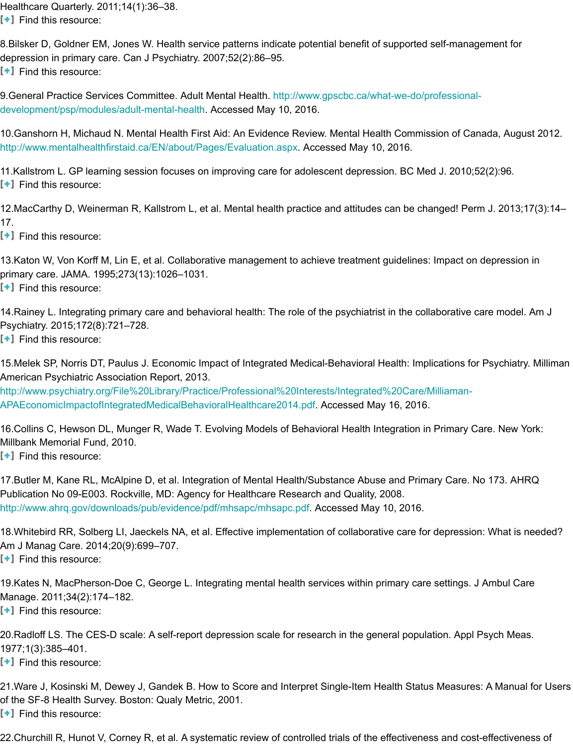http://www.mentalhealthfirstaid.ca/EN/about/Pages/Evaluation.aspx. Accessed May 10, 2016. 10.Ganshorn H, Michaud N. Mental Health First Aid: An Evidence Review. Mental Health Commission of Canada, August 2012.

<span id="page-14-0"></span>11.Kallstrom L. GP learning session focuses on improving care for adolescent depression. BC Med J. 2010  $[\cdot]$  Find this resource:

12. MacCarthy D, Weinerman R, Kallstrom L, et al. Mental health practice and attitudes can be changed! Pe 17.

<span id="page-14-1"></span> $[t]$  Find this resource:

<span id="page-14-2"></span>13.Katon W, Von Korff M, Lin E, et al. Collaborative management to achieve treatment guidelines: Impact on primary care. JAMA. 1995;273(13):1026–1031. [<sup>+</sup>] Find this resource:

14. Rainey L. Integrating primary care and behavioral health: The role of the psychiatrist in the collaborative Psychiatry. 2015;172(8):721–728.  $[\cdot]$  Find this resource:

<span id="page-14-3"></span>15.Melek SP, Norris DT, Paulus J. Economic Impact of Integrated Medical-Behavioral Health: Implications f American Psychiatric Association Report, 2013.

<span id="page-14-4"></span> APAEconomicImpactofIntegratedMedicalBehavioralHealthcare2014.pdf. Accessed May 16, 2016. http://www.psychiatry.org/File%20Library/Practice/Professional%20Interests/Integrated%20Care/Milliaman-

16. Collins C, Hewson DL, Munger R, Wade T. Evolving Models of Behavioral Health Integration in Primary Millbank Memorial Fund, 2010.

<span id="page-14-5"></span>[<sup>+</sup>] Find this resource:

<span id="page-14-6"></span>17. Butler M, Kane RL, McAlpine D, et al. Integration of Mental Health/Substance Abuse and Primary Care. Publication No 09-E003. Rockville, MD: Agency for Healthcare Research and Quality, 2008. http://www.ahrq.gov/downloads/pub/evidence/pdf/mhsapc/mhsapc.pdf. Accessed May 10, 2016.

18. Whitebird RR, Solberg LI, Jaeckels NA, et al. Effective implementation of collaborative care for depressi Am J Manag Care. 2014;20(9):699–707. [<sup>+</sup>] Find this resource:

<span id="page-14-7"></span>19.Kates N, MacPherson-Doe C, George L. Integrating mental health services within primary care settings. Manage. 2011;34(2):174–182.  $[\cdot]$  Find this resource:

<span id="page-14-8"></span>20.Radloff LS. The CES-D scale: A self-report depression scale for research in the general population. App [1977;1\(3\):385–401.](http://www.ahrq.gov/downloads/pub/evidence/pdf/mhsapc/mhsapc.pdf) 

<span id="page-14-13"></span> $[\cdot]$  Find this resource:

21.Ware J, Kosinski M, Dewey J, Gandek B. How to Score and Interpret Single-Item Health Status Measur of the SF-8 Health Survey. Boston: Qualy Metric, 2001. [<sup>+</sup>] Find this resource:

<span id="page-14-12"></span><span id="page-14-11"></span><span id="page-14-10"></span><span id="page-14-9"></span>22.Churchill R, Hunot V, Corney R, et al. A systematic review of controlled trials of the effectiveness and co